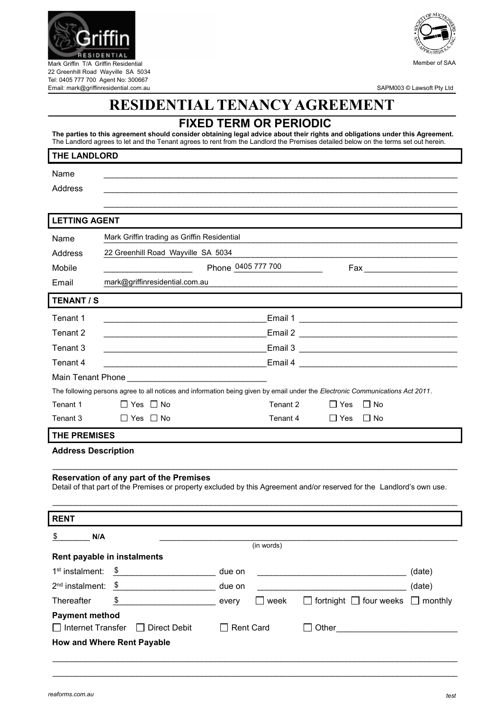

SAPM003 © Lawsoft Pty Ltd

## **RESIDENTIAL TENANCY AGREEMENT**

## **FIXED TERM OR PERIODIC**

**The parties to this agreement should consider obtaining legal advice about their rights and obligations under this Agreement.** The Landlord agrees to let and the Tenant agrees to rent from the Landlord the Premises detailed below on the terms set out herein.

## **THE LANDLORD**

Tel: 0405 777 700 Agent No: 300667 Email: mark@griffinresidential.com.au

Name  $\Box$ 

Address \_\_\_\_\_\_\_\_\_\_\_\_\_\_\_\_\_\_\_\_\_\_\_\_\_\_\_\_\_\_\_\_\_\_\_\_\_\_\_\_\_\_\_\_\_\_\_\_\_\_\_\_\_\_\_\_\_\_\_\_\_\_\_\_\_\_\_\_\_\_\_\_\_\_\_\_

| <b>LETTING AGENT</b>                                                                                                                                                     |                                                                                                                                 |                    |                                                                                                                       |        |  |  |
|--------------------------------------------------------------------------------------------------------------------------------------------------------------------------|---------------------------------------------------------------------------------------------------------------------------------|--------------------|-----------------------------------------------------------------------------------------------------------------------|--------|--|--|
| Name                                                                                                                                                                     | Mark Griffin trading as Griffin Residential                                                                                     |                    |                                                                                                                       |        |  |  |
| Address                                                                                                                                                                  | 22 Greenhill Road Wayville SA 5034                                                                                              |                    |                                                                                                                       |        |  |  |
| Mobile                                                                                                                                                                   |                                                                                                                                 | Phone 0405 777 700 | Fax ________________________                                                                                          |        |  |  |
| Email                                                                                                                                                                    | mark@griffinresidential.com.au                                                                                                  |                    |                                                                                                                       |        |  |  |
| <b>TENANT / S</b>                                                                                                                                                        |                                                                                                                                 |                    |                                                                                                                       |        |  |  |
| Tenant 1                                                                                                                                                                 |                                                                                                                                 |                    | Email 1                                                                                                               |        |  |  |
| Tenant 2                                                                                                                                                                 | <u> 1989 - Johann Barbara, martin amerikan basal dan berasal dalam basal dalam basal dalam basal dalam basal dala</u>           |                    |                                                                                                                       |        |  |  |
| Tenant 3                                                                                                                                                                 |                                                                                                                                 |                    |                                                                                                                       |        |  |  |
| Tenant 4                                                                                                                                                                 |                                                                                                                                 |                    |                                                                                                                       |        |  |  |
|                                                                                                                                                                          |                                                                                                                                 |                    |                                                                                                                       |        |  |  |
|                                                                                                                                                                          | The following persons agree to all notices and information being given by email under the Electronic Communications Act 2011.   |                    |                                                                                                                       |        |  |  |
| Tenant 1                                                                                                                                                                 | $\Box$ Yes $\Box$ No                                                                                                            | Tenant 2           | $\Box$ Yes<br>$\Box$ No                                                                                               |        |  |  |
| Tenant 3                                                                                                                                                                 | $\Box$ Yes $\Box$ No                                                                                                            | Tenant 4           | $\Box$ No<br>∣ I Yes                                                                                                  |        |  |  |
| <b>THE PREMISES</b>                                                                                                                                                      |                                                                                                                                 |                    |                                                                                                                       |        |  |  |
| <b>Address Description</b>                                                                                                                                               |                                                                                                                                 |                    |                                                                                                                       |        |  |  |
|                                                                                                                                                                          |                                                                                                                                 |                    |                                                                                                                       |        |  |  |
| <b>Reservation of any part of the Premises</b><br>Detail of that part of the Premises or property excluded by this Agreement and/or reserved for the Landlord's own use. |                                                                                                                                 |                    |                                                                                                                       |        |  |  |
|                                                                                                                                                                          |                                                                                                                                 |                    |                                                                                                                       |        |  |  |
|                                                                                                                                                                          |                                                                                                                                 |                    |                                                                                                                       |        |  |  |
| <b>RENT</b>                                                                                                                                                              |                                                                                                                                 |                    |                                                                                                                       |        |  |  |
| \$<br>N/A                                                                                                                                                                |                                                                                                                                 | (in words)         |                                                                                                                       |        |  |  |
|                                                                                                                                                                          | Rent payable in instalments                                                                                                     |                    |                                                                                                                       |        |  |  |
| 1 <sup>st</sup> instalment:                                                                                                                                              | \$<br>due on <b>due</b> due on                                                                                                  |                    | <u> 1989 - Johann John Stoff, deutscher Stoffen und der Stoffen und der Stoffen und der Stoffen und der Stoffen u</u> | (date) |  |  |
| 2 <sup>nd</sup> instalment:                                                                                                                                              | $\sqrt[6]{3}$<br>due on the state of the state of the state of the state of the state of the state of the state of the state of |                    |                                                                                                                       | (date) |  |  |
| Thereafter                                                                                                                                                               | \$<br><b>Every</b> every                                                                                                        | $\square$ week     | $\Box$ fortnight $\Box$ four weeks $\Box$ monthly                                                                     |        |  |  |
| <b>Payment method</b>                                                                                                                                                    |                                                                                                                                 |                    |                                                                                                                       |        |  |  |
|                                                                                                                                                                          | $\Box$ Internet Transfer $\Box$ Direct Debit                                                                                    | <b>Rent Card</b>   | Other                                                                                                                 |        |  |  |

\_\_\_\_\_\_\_\_\_\_\_\_\_\_\_\_\_\_\_\_\_\_\_\_\_\_\_\_\_\_\_\_\_\_\_\_\_\_\_\_\_\_\_\_\_\_\_\_\_\_\_\_\_\_\_\_\_\_\_\_\_\_\_\_\_\_\_\_\_\_\_\_\_\_\_\_\_\_\_\_\_\_\_\_\_\_\_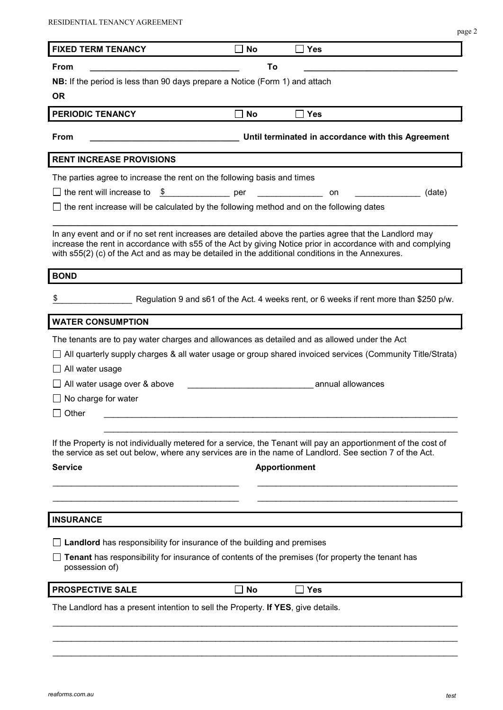| <b>FIXED TERM TENANCY</b><br>From                                                                                                                                                                                                                                                                                          | <b>No</b>                | <b>Yes</b>                                                                                       |        |
|----------------------------------------------------------------------------------------------------------------------------------------------------------------------------------------------------------------------------------------------------------------------------------------------------------------------------|--------------------------|--------------------------------------------------------------------------------------------------|--------|
|                                                                                                                                                                                                                                                                                                                            | To                       |                                                                                                  |        |
| NB: If the period is less than 90 days prepare a Notice (Form 1) and attach                                                                                                                                                                                                                                                |                          |                                                                                                  |        |
| <b>OR</b>                                                                                                                                                                                                                                                                                                                  |                          |                                                                                                  |        |
| <b>PERIODIC TENANCY</b>                                                                                                                                                                                                                                                                                                    | No                       | Yes                                                                                              |        |
|                                                                                                                                                                                                                                                                                                                            |                          |                                                                                                  |        |
| From                                                                                                                                                                                                                                                                                                                       |                          | Until terminated in accordance with this Agreement                                               |        |
| <b>RENT INCREASE PROVISIONS</b>                                                                                                                                                                                                                                                                                            |                          |                                                                                                  |        |
| The parties agree to increase the rent on the following basis and times                                                                                                                                                                                                                                                    |                          |                                                                                                  |        |
| the rent will increase to<br>$\sqrt[6]{\frac{1}{2}}$                                                                                                                                                                                                                                                                       | $\rule{1em}{0.15mm}$ per | <u> Liberatura de la pro</u><br>on                                                               | (date) |
| the rent increase will be calculated by the following method and on the following dates                                                                                                                                                                                                                                    |                          |                                                                                                  |        |
| In any event and or if no set rent increases are detailed above the parties agree that the Landlord may<br>increase the rent in accordance with s55 of the Act by giving Notice prior in accordance with and complying<br>with s55(2) (c) of the Act and as may be detailed in the additional conditions in the Annexures. |                          |                                                                                                  |        |
| <b>BOND</b>                                                                                                                                                                                                                                                                                                                |                          |                                                                                                  |        |
| \$                                                                                                                                                                                                                                                                                                                         |                          | Regulation 9 and s61 of the Act. 4 weeks rent, or 6 weeks if rent more than \$250 p/w.           |        |
| <b>WATER CONSUMPTION</b>                                                                                                                                                                                                                                                                                                   |                          |                                                                                                  |        |
| The tenants are to pay water charges and allowances as detailed and as allowed under the Act<br>All quarterly supply charges & all water usage or group shared invoiced services (Community Title/Strata)                                                                                                                  |                          |                                                                                                  |        |
| All water usage                                                                                                                                                                                                                                                                                                            |                          |                                                                                                  |        |
| All water usage over & above                                                                                                                                                                                                                                                                                               |                          | annual allowances                                                                                |        |
| No charge for water<br>Other                                                                                                                                                                                                                                                                                               |                          |                                                                                                  |        |
| If the Property is not individually metered for a service, the Tenant will pay an apportionment of the cost of<br>the service as set out below, where any services are in the name of Landlord. See section 7 of the Act.<br><b>Service</b>                                                                                |                          | <b>Apportionment</b>                                                                             |        |
| <b>INSURANCE</b>                                                                                                                                                                                                                                                                                                           |                          |                                                                                                  |        |
| <b>Landlord</b> has responsibility for insurance of the building and premises                                                                                                                                                                                                                                              |                          |                                                                                                  |        |
|                                                                                                                                                                                                                                                                                                                            |                          | Tenant has responsibility for insurance of contents of the premises (for property the tenant has |        |
| possession of)                                                                                                                                                                                                                                                                                                             |                          |                                                                                                  |        |
| <b>PROSPECTIVE SALE</b>                                                                                                                                                                                                                                                                                                    | No                       | <b>Yes</b>                                                                                       |        |

 $\mathcal{L}_\mathcal{L} = \mathcal{L}_\mathcal{L} = \mathcal{L}_\mathcal{L} = \mathcal{L}_\mathcal{L} = \mathcal{L}_\mathcal{L} = \mathcal{L}_\mathcal{L} = \mathcal{L}_\mathcal{L} = \mathcal{L}_\mathcal{L} = \mathcal{L}_\mathcal{L} = \mathcal{L}_\mathcal{L} = \mathcal{L}_\mathcal{L} = \mathcal{L}_\mathcal{L} = \mathcal{L}_\mathcal{L} = \mathcal{L}_\mathcal{L} = \mathcal{L}_\mathcal{L} = \mathcal{L}_\mathcal{L} = \mathcal{L}_\mathcal{L}$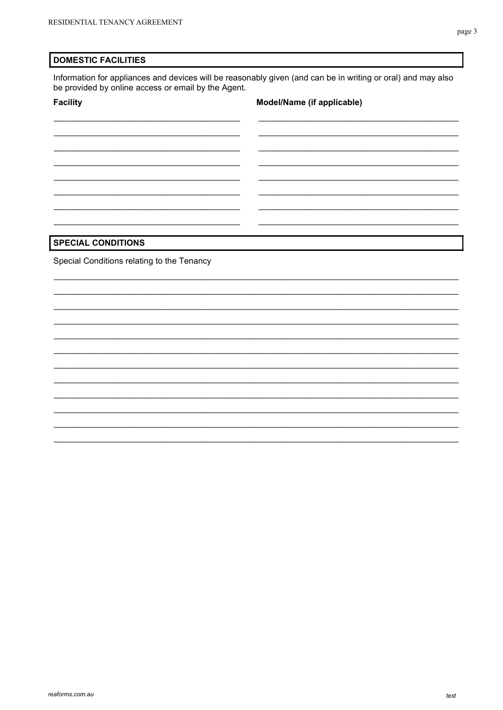#### **DOMESTIC FACILITIES**

Information for appliances and devices will be reasonably given (and can be in writing or oral) and may also be provided by online access or email by the Agent.

#### **Facility**

## Model/Name (if applicable)

## **SPECIAL CONDITIONS**

Special Conditions relating to the Tenancy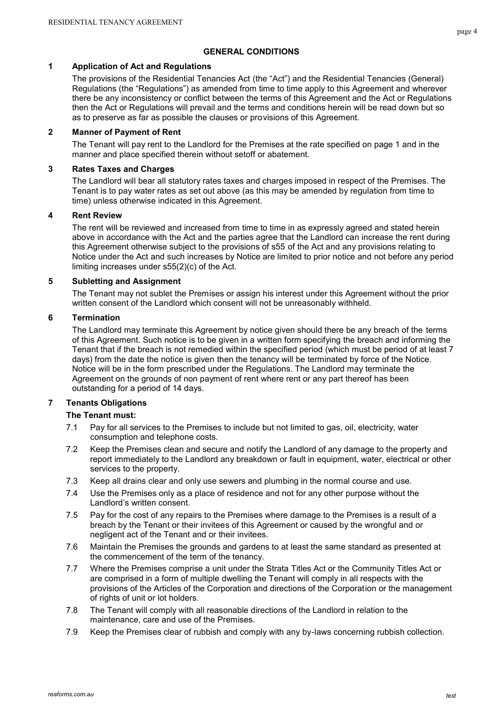## **GENERAL CONDITIONS**

#### **1 Application of Act and Regulations**

The provisions of the Residential Tenancies Act (the "Act") and the Residential Tenancies (General) Regulations (the "Regulations") as amended from time to time apply to this Agreement and wherever there be any inconsistency or conflict between the terms of this Agreement and the Act or Regulations then the Act or Regulations will prevail and the terms and conditions herein will be read down but so as to preserve as far as possible the clauses or provisions of this Agreement.

## **2 Manner of Payment of Rent**

The Tenant will pay rent to the Landlord for the Premises at the rate specified on page 1 and in the manner and place specified therein without setoff or abatement.

## **3 Rates Taxes and Charges**

The Landlord will bear all statutory rates taxes and charges imposed in respect of the Premises. The Tenant is to pay water rates as set out above (as this may be amended by regulation from time to time) unless otherwise indicated in this Agreement.

#### **4 Rent Review**

The rent will be reviewed and increased from time to time in as expressly agreed and stated herein above in accordance with the Act and the parties agree that the Landlord can increase the rent during this Agreement otherwise subject to the provisions of s55 of the Act and any provisions relating to Notice under the Act and such increases by Notice are limited to prior notice and not before any period limiting increases under s55(2)(c) of the Act.

#### **5 Subletting and Assignment**

The Tenant may not sublet the Premises or assign his interest under this Agreement without the prior written consent of the Landlord which consent will not be unreasonably withheld.

#### **6 Termination**

The Landlord may terminate this Agreement by notice given should there be any breach of the terms of this Agreement. Such notice is to be given in a written form specifying the breach and informing the Tenant that if the breach is not remedied within the specified period (which must be period of at least 7 days) from the date the notice is given then the tenancy will be terminated by force of the Notice. Notice will be in the form prescribed under the Regulations. The Landlord may terminate the Agreement on the grounds of non payment of rent where rent or any part thereof has been outstanding for a period of 14 days.

## **7 Tenants Obligations**

## **The Tenant must:**

- 7.1 Pay for all services to the Premises to include but not limited to gas, oil, electricity, water consumption and telephone costs.
- 7.2 Keep the Premises clean and secure and notify the Landlord of any damage to the property and report immediately to the Landlord any breakdown or fault in equipment, water, electrical or other services to the property.
- 7.3 Keep all drains clear and only use sewers and plumbing in the normal course and use.
- 7.4 Use the Premises only as a place of residence and not for any other purpose without the Landlord's written consent.
- 7.5 Pay for the cost of any repairs to the Premises where damage to the Premises is a result of a breach by the Tenant or their invitees of this Agreement or caused by the wrongful and or negligent act of the Tenant and or their invitees.
- 7.6 Maintain the Premises the grounds and gardens to at least the same standard as presented at the commencement of the term of the tenancy.
- 7.7 Where the Premises comprise a unit under the Strata Titles Act or the Community Titles Act or are comprised in a form of multiple dwelling the Tenant will comply in all respects with the provisions of the Articles of the Corporation and directions of the Corporation or the management of rights of unit or lot holders.
- 7.8 The Tenant will comply with all reasonable directions of the Landlord in relation to the maintenance, care and use of the Premises.
- 7.9 Keep the Premises clear of rubbish and comply with any by-laws concerning rubbish collection.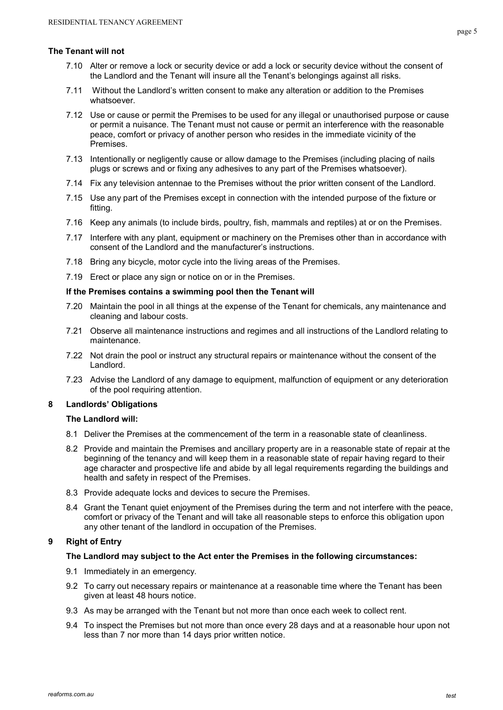#### **The Tenant will not**

- 7.10 Alter or remove a lock or security device or add a lock or security device without the consent of the Landlord and the Tenant will insure all the Tenant's belongings against all risks.
- 7.11 Without the Landlord's written consent to make any alteration or addition to the Premises whatsoever.
- 7.12 Use or cause or permit the Premises to be used for any illegal or unauthorised purpose or cause or permit a nuisance. The Tenant must not cause or permit an interference with the reasonable peace, comfort or privacy of another person who resides in the immediate vicinity of the Premises.
- 7.13 Intentionally or negligently cause or allow damage to the Premises (including placing of nails plugs or screws and or fixing any adhesives to any part of the Premises whatsoever).
- 7.14 Fix any television antennae to the Premises without the prior written consent of the Landlord.
- 7.15 Use any part of the Premises except in connection with the intended purpose of the fixture or fitting.
- 7.16 Keep any animals (to include birds, poultry, fish, mammals and reptiles) at or on the Premises.
- 7.17 Interfere with any plant, equipment or machinery on the Premises other than in accordance with consent of the Landlord and the manufacturer's instructions.
- 7.18 Bring any bicycle, motor cycle into the living areas of the Premises.
- 7.19 Erect or place any sign or notice on or in the Premises.

#### **If the Premises contains a swimming pool then the Tenant will**

- 7.20 Maintain the pool in all things at the expense of the Tenant for chemicals, any maintenance and cleaning and labour costs.
- 7.21 Observe all maintenance instructions and regimes and all instructions of the Landlord relating to maintenance.
- 7.22 Not drain the pool or instruct any structural repairs or maintenance without the consent of the Landlord.
- 7.23 Advise the Landlord of any damage to equipment, malfunction of equipment or any deterioration of the pool requiring attention.

## **8 Landlords' Obligations**

## **The Landlord will:**

- 8.1 Deliver the Premises at the commencement of the term in a reasonable state of cleanliness.
- 8.2 Provide and maintain the Premises and ancillary property are in a reasonable state of repair at the beginning of the tenancy and will keep them in a reasonable state of repair having regard to their age character and prospective life and abide by all legal requirements regarding the buildings and health and safety in respect of the Premises.
- 8.3 Provide adequate locks and devices to secure the Premises.
- 8.4 Grant the Tenant quiet enjoyment of the Premises during the term and not interfere with the peace, comfort or privacy of the Tenant and will take all reasonable steps to enforce this obligation upon any other tenant of the landlord in occupation of the Premises.

## **9 Right of Entry**

## **The Landlord may subject to the Act enter the Premises in the following circumstances:**

- 9.1 Immediately in an emergency.
- 9.2 To carry out necessary repairs or maintenance at a reasonable time where the Tenant has been given at least 48 hours notice.
- 9.3 As may be arranged with the Tenant but not more than once each week to collect rent.
- 9.4 To inspect the Premises but not more than once every 28 days and at a reasonable hour upon not less than 7 nor more than 14 days prior written notice.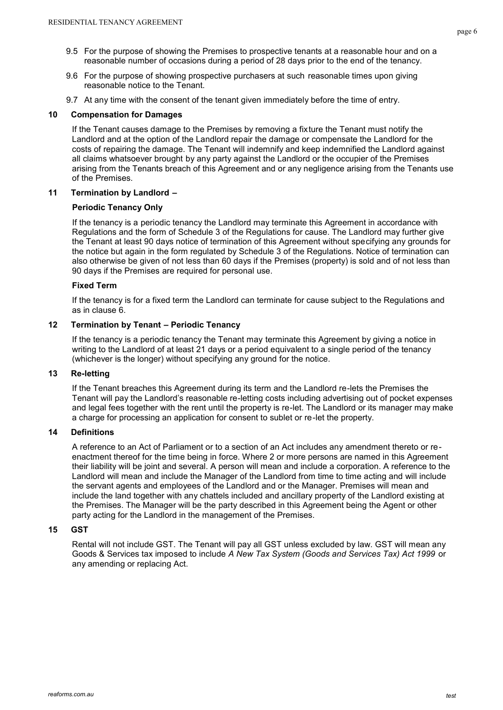- 9.5 For the purpose of showing the Premises to prospective tenants at a reasonable hour and on a reasonable number of occasions during a period of 28 days prior to the end of the tenancy.
- 9.6 For the purpose of showing prospective purchasers at such reasonable times upon giving reasonable notice to the Tenant.
- 9.7 At any time with the consent of the tenant given immediately before the time of entry.

#### **10 Compensation for Damages**

If the Tenant causes damage to the Premises by removing a fixture the Tenant must notify the Landlord and at the option of the Landlord repair the damage or compensate the Landlord for the costs of repairing the damage. The Tenant will indemnify and keep indemnified the Landlord against all claims whatsoever brought by any party against the Landlord or the occupier of the Premises arising from the Tenants breach of this Agreement and or any negligence arising from the Tenants use of the Premises.

#### **11 Termination by Landlord –**

#### **Periodic Tenancy Only**

If the tenancy is a periodic tenancy the Landlord may terminate this Agreement in accordance with Regulations and the form of Schedule 3 of the Regulations for cause. The Landlord may further give the Tenant at least 90 days notice of termination of this Agreement without specifying any grounds for the notice but again in the form regulated by Schedule 3 of the Regulations. Notice of termination can also otherwise be given of not less than 60 days if the Premises (property) is sold and of not less than 90 days if the Premises are required for personal use.

#### **Fixed Term**

If the tenancy is for a fixed term the Landlord can terminate for cause subject to the Regulations and as in clause 6.

#### **12 Termination by Tenant – Periodic Tenancy**

If the tenancy is a periodic tenancy the Tenant may terminate this Agreement by giving a notice in writing to the Landlord of at least 21 days or a period equivalent to a single period of the tenancy (whichever is the longer) without specifying any ground for the notice.

#### **13 Re-letting**

If the Tenant breaches this Agreement during its term and the Landlord re-lets the Premises the Tenant will pay the Landlord's reasonable re-letting costs including advertising out of pocket expenses and legal fees together with the rent until the property is re-let. The Landlord or its manager may make a charge for processing an application for consent to sublet or re-let the property.

## **14 Definitions**

A reference to an Act of Parliament or to a section of an Act includes any amendment thereto or reenactment thereof for the time being in force. Where 2 or more persons are named in this Agreement their liability will be joint and several. A person will mean and include a corporation. A reference to the Landlord will mean and include the Manager of the Landlord from time to time acting and will include the servant agents and employees of the Landlord and or the Manager. Premises will mean and include the land together with any chattels included and ancillary property of the Landlord existing at the Premises. The Manager will be the party described in this Agreement being the Agent or other party acting for the Landlord in the management of the Premises.

#### **15 GST**

Rental will not include GST. The Tenant will pay all GST unless excluded by law. GST will mean any Goods & Services tax imposed to include *A New Tax System (Goods and Services Tax) Act 1999* or any amending or replacing Act.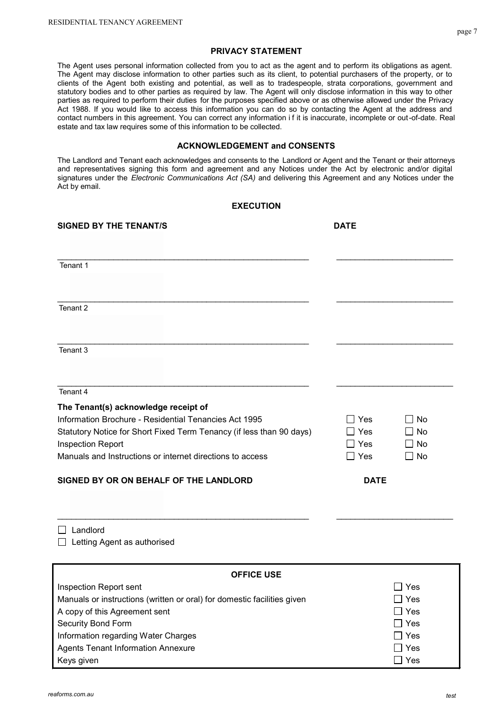The Agent uses personal information collected from you to act as the agent and to perform its obligations as agent. The Agent may disclose information to other parties such as its client, to potential purchasers of the property, or to clients of the Agent both existing and potential, as well as to tradespeople, strata corporations, government and statutory bodies and to other parties as required by law. The Agent will only disclose information in this way to other parties as required to perform their duties for the purposes specified above or as otherwise allowed under the Privacy Act 1988. If you would like to access this information you can do so by contacting the Agent at the address and contact numbers in this agreement. You can correct any information if it is inaccurate, incomplete or out-of-date. Real estate and tax law requires some of this information to be collected.

#### **ACKNOWLEDGEMENT and CONSENTS**

The Landlord and Tenant each acknowledges and consents to the Landlord or Agent and the Tenant or their attorneys and representatives signing this form and agreement and any Notices under the Act by electronic and/or digital signatures under the *Electronic Communications Act (SA)* and delivering this Agreement and any Notices under the Act by email.

#### **EXECUTION**

| <b>SIGNED BY THE TENANT/S</b>                                        | <b>DATE</b> |             |           |
|----------------------------------------------------------------------|-------------|-------------|-----------|
|                                                                      |             |             |           |
| Tenant 1                                                             |             |             |           |
| Tenant 2                                                             |             |             |           |
| Tenant 3                                                             |             |             |           |
| Tenant 4                                                             |             |             |           |
| The Tenant(s) acknowledge receipt of                                 |             |             |           |
| Information Brochure - Residential Tenancies Act 1995                |             | Yes         | No        |
| Statutory Notice for Short Fixed Term Tenancy (if less than 90 days) |             | <b>Yes</b>  | ∩ No      |
| Inspection Report                                                    |             | Yes         | $\Box$ No |
| Manuals and Instructions or internet directions to access            |             | $\Box$ Yes  | $\Box$ No |
| SIGNED BY OR ON BEHALF OF THE LANDLORD                               |             | <b>DATE</b> |           |
|                                                                      |             |             |           |

□ Landlord  $\Box$  Letting Agent as authorised

| <b>OFFICE USE</b>                                                       |            |  |  |  |
|-------------------------------------------------------------------------|------------|--|--|--|
| Inspection Report sent                                                  | Yes        |  |  |  |
| Manuals or instructions (written or oral) for domestic facilities given | $\Box$ Yes |  |  |  |
| A copy of this Agreement sent                                           | Yes        |  |  |  |
| <b>Security Bond Form</b>                                               | $\Box$ Yes |  |  |  |
| Information regarding Water Charges                                     | ∣ Yes      |  |  |  |
| <b>Agents Tenant Information Annexure</b>                               | l I Yes    |  |  |  |
| Keys given                                                              | Yes        |  |  |  |